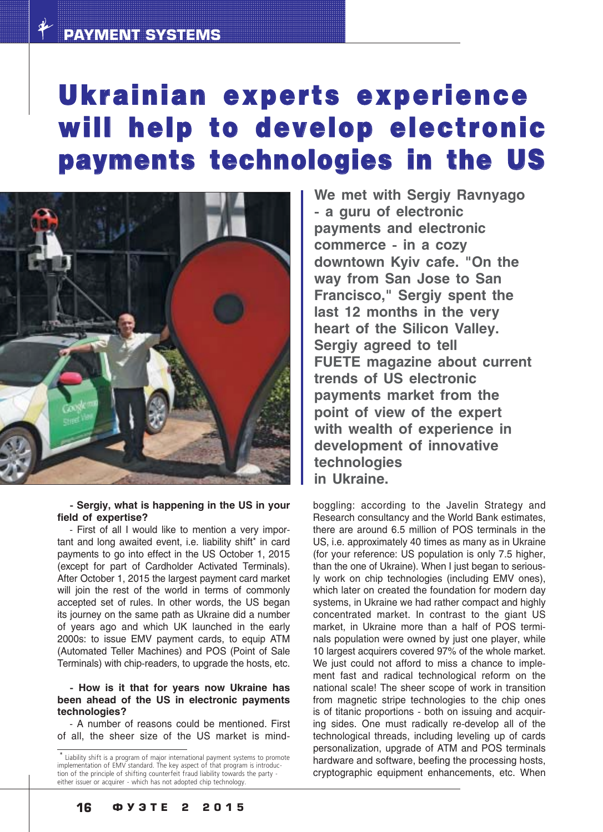## Ukrainian experts experience will help to develop electronic payments technologies in the US



 **Sergiy, what is happening in the US in your field of expertise?**

- First of all I would like to mention a very important and long awaited event, i.e. liability shift\* in card payments to go into effect in the US October 1, 2015 (except for part of Cardholder Activated Terminals). After October 1, 2015 the largest payment card market will join the rest of the world in terms of commonly accepted set of rules. In other words, the US began its journey on the same path as Ukraine did a number of years ago and which UK launched in the early 2000s: to issue EMV payment cards, to equip ATM (Automated Teller Machines) and POS (Point of Sale Terminals) with chip-readers, to upgrade the hosts, etc.

### **How is it that for years now Ukraine has been ahead of the US in electronic payments technologies?**

 A number of reasons could be mentioned. First of all, the sheer size of the US market is mind

**We met with Sergiy Ravnyago a guru of electronic payments and electronic commerce in a cozy downtown Kyiv cafe. "On the way from San Jose to San Francisco," Sergiy spent the last 12 months in the very heart of the Silicon Valley. Sergiy agreed to tell FUETE magazine about current trends of US electronic payments market from the point of view of the expert with wealth of experience in development of innovative technologies in Ukraine.**

boggling: according to the Javelin Strategy and Research consultancy and the World Bank estimates, there are around 6.5 million of POS terminals in the US, i.e. approximately 40 times as many as in Ukraine (for your reference: US population is only 7.5 higher, than the one of Ukraine). When I just began to serious ly work on chip technologies (including EMV ones), which later on created the foundation for modern day systems, in Ukraine we had rather compact and highly concentrated market. In contrast to the giant US market, in Ukraine more than a half of POS termi nals population were owned by just one player, while 10 largest acquirers covered 97% of the whole market. We just could not afford to miss a chance to implement fast and radical technological reform on the national scale! The sheer scope of work in transition from magnetic stripe technologies to the chip ones is of titanic proportions - both on issuing and acquiring sides. One must radically re-develop all of the technological threads, including leveling up of cards personalization, upgrade of ATM and POS terminals hardware and software, beefing the processing hosts, cryptographic equipment enhancements, etc. When

<sup>\*</sup> Liability shift is a program of major international payment systems to promote implementation of EMV standard. The key aspect of that program is introduction of the principle of shifting counterfeit fraud liability towards the party either issuer or acquirer - which has not adopted chip technology.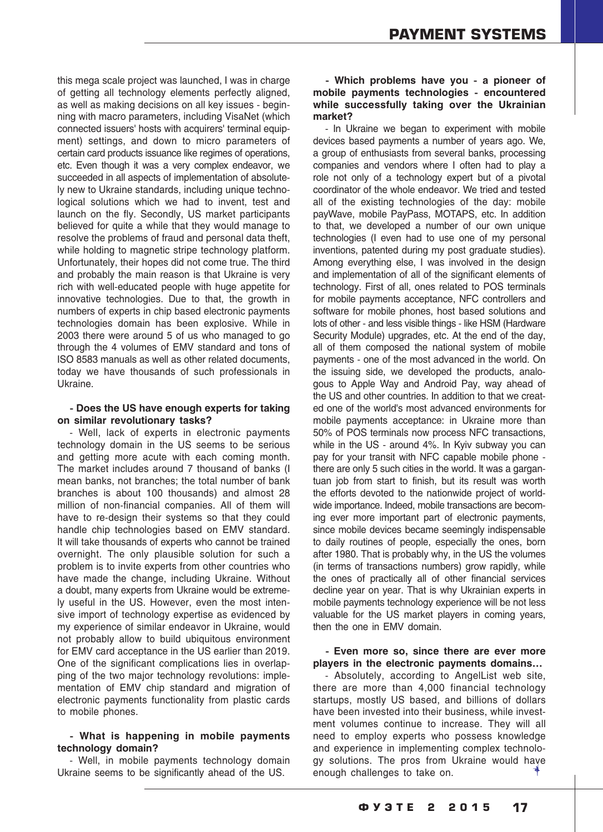this mega scale project was launched, I was in charge of getting all technology elements perfectly aligned, as well as making decisions on all key issues - beginning with macro parameters, including VisaNet (which connected issuers' hosts with acquirers' terminal equip ment) settings, and down to micro parameters of certain card products issuance like regimes of operations, etc. Even though it was a very complex endeavor, we succeeded in all aspects of implementation of absolute ly new to Ukraine standards, including unique techno logical solutions which we had to invent, test and launch on the fly. Secondly, US market participants believed for quite a while that they would manage to resolve the problems of fraud and personal data theft, while holding to magnetic stripe technology platform. Unfortunately, their hopes did not come true. The third and probably the main reason is that Ukraine is very rich with well-educated people with huge appetite for innovative technologies. Due to that, the growth in numbers of experts in chip based electronic payments technologies domain has been explosive. While in 2003 there were around 5 of us who managed to go through the 4 volumes of EMV standard and tons of ISO 8583 manuals as well as other related documents, today we have thousands of such professionals in Ukraine.

## **Does the US have enough experts for taking on similar revolutionary tasks?**

 Well, lack of experts in electronic payments technology domain in the US seems to be serious and getting more acute with each coming month. The market includes around 7 thousand of banks (I mean banks, not branches; the total number of bank branches is about 100 thousands) and almost 28 million of non-financial companies. All of them will have to re-design their systems so that they could handle chip technologies based on EMV standard. It will take thousands of experts who cannot be trained overnight. The only plausible solution for such a problem is to invite experts from other countries who have made the change, including Ukraine. Without a doubt, many experts from Ukraine would be extreme ly useful in the US. However, even the most inten sive import of technology expertise as evidenced by my experience of similar endeavor in Ukraine, would not probably allow to build ubiquitous environment for EMV card acceptance in the US earlier than 2019. One of the significant complications lies in overlap ping of the two major technology revolutions: imple mentation of EMV chip standard and migration of electronic payments functionality from plastic cards to mobile phones.

## **What is happening in mobile payments technology domain?**

 Well, in mobile payments technology domain Ukraine seems to be significantly ahead of the US.

## **Which problems have you a pioneer of mobile payments technologies encountered while successfully taking over the Ukrainian market?**

- In Ukraine we began to experiment with mobile devices based payments a number of years ago. We, a group of enthusiasts from several banks, processing companies and vendors where I often had to play a role not only of a technology expert but of a pivotal coordinator of the whole endeavor. We tried and tested all of the existing technologies of the day: mobile payWave, mobile PayPass, MOTAPS, etc. In addition to that, we developed a number of our own unique technologies (I even had to use one of my personal inventions, patented during my post graduate studies). Among everything else, I was involved in the design and implementation of all of the significant elements of technology. First of all, ones related to POS terminals for mobile payments acceptance, NFC controllers and software for mobile phones, host based solutions and lots of other - and less visible things - like HSM (Hardware Security Module) upgrades, etc. At the end of the day, all of them composed the national system of mobile payments - one of the most advanced in the world. On the issuing side, we developed the products, analo gous to Apple Way and Android Pay, way ahead of the US and other countries. In addition to that we creat ed one of the world's most advanced environments for mobile payments acceptance: in Ukraine more than 50% of POS terminals now process NFC transactions, while in the US - around 4%. In Kyiv subway you can pay for your transit with NFC capable mobile phone there are only 5 such cities in the world. It was a gargantuan job from start to finish, but its result was worth the efforts devoted to the nationwide project of world wide importance. Indeed, mobile transactions are becom ing ever more important part of electronic payments, since mobile devices became seemingly indispensable to daily routines of people, especially the ones, born after 1980. That is probably why, in the US the volumes (in terms of transactions numbers) grow rapidly, while the ones of practically all of other financial services decline year on year. That is why Ukrainian experts in mobile payments technology experience will be not less valuable for the US market players in coming years, then the one in EMV domain.

## **Even more so, since there are ever more players in the electronic payments domains…**

 Absolutely, according to AngelList web site, there are more than 4,000 financial technology startups, mostly US based, and billions of dollars have been invested into their business, while invest ment volumes continue to increase. They will all need to employ experts who possess knowledge and experience in implementing complex technolo gy solutions. The pros from Ukraine would have enough challenges to take on.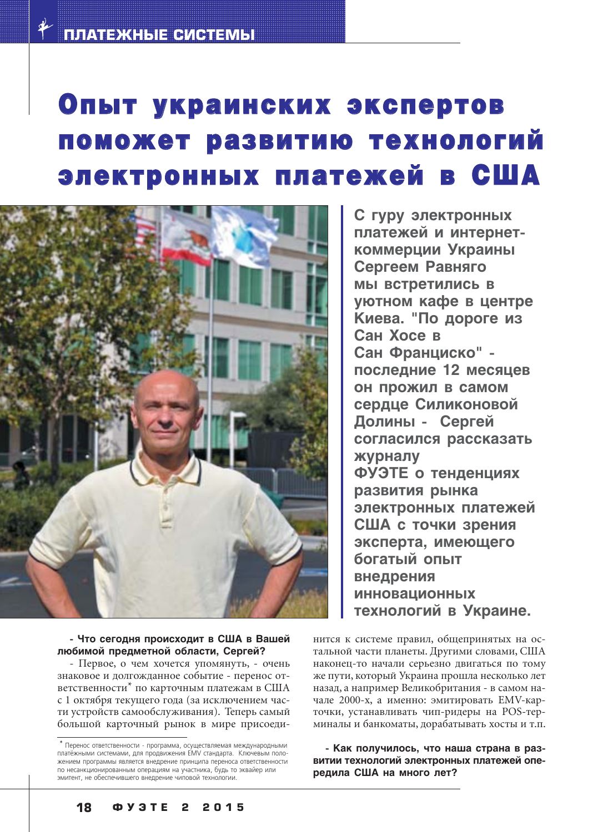# Опыт украинских экспертов поможет развитию технологий электронных платежей в США



 **Что сегодня происходит в США в Вашей любимой предметной области, Сергей?**

- Первое, о чем хочется упомянуть, - очень знаковое и долгожданное событие - перенос ответственности\* по карточным платежам в США с 1 октября текущего года (за исключением части устройств самообслуживания). Теперь самый большой карточный рынок в мире присоеди-

**С гуру электронных платежей и интернет коммерции Украины Сергеем Равняго мы встретились в уютном кафе в центре Киева. "По дороге из Сан Хосе в Сан Франциско" последние 12 месяцев он прожил в самом сердце Силиконовой Долины Сергей согласился рассказать журналу ФУЭТЕ о тенденциях развития рынка электронных платежей США с точки зрения эксперта, имеющего богатый опыт внедрения инновационных технологий в Украине.**

нится к системе правил, общепринятых на остальной части планеты. Другими словами, США наконец-то начали серьезно двигаться по тому же пути, который Украина прошла несколько лет назад, а например Великобритания - в самом начале 2000-х, а именно: эмитировать EMV-карточки, устанавливать чип-ридеры на POS-терминалы и банкоматы, дорабатывать хосты и т.п.

 **Как получилось, что наша страна в раз витии технологий электронных платежей опе редила США на много лет?**

 $*$  Перенос ответственности - программа, осуществляемая международными платёжными системами, для продвижения EMV стандарта. Ключевым положением программы является внедрение принципа переноса ответственности по несанкционированным операциям на участника, будь то эквайер или эмитент, не обеспечившего внедрение чиповой технологии.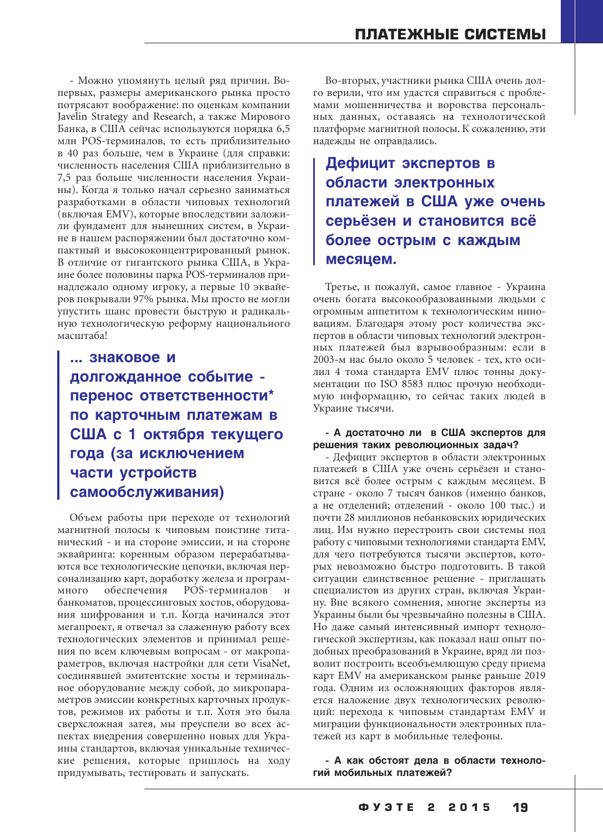- Можно упомянуть целый ряд причин. Вопервых, размеры американского рынка просто потрясают воображение: по оценкам компании Javelin Strategy and Research, а также Мирового Банка, в США сейчас используются порядка 6,5 млн POS-терминалов, то есть приблизительно в 40 раз больше, чем в Украине (для справки: численность населения США приблизительно в 7,5 раз больше численности населения Украины). Когда я только начал серьезно заниматься разработками в области чиповых технологий (включая EMV), которые впоследствии заложили фундамент для нынешних систем, в Украине в нашем распоряжении был достаточно компактный и высококонцентрированный рынок. В отличие от гигантского рынка США, в Украине более половины парка POS-терминалов принадлежало одному игроку, а первые 10 эквайеров покрывали 97% рынка. Мы просто не могли упустить шанс провести быструю и радикальную технологическую реформу национального масштаба!

**... знаковое и долгожданное событие перенос ответственности\* по карточным платежам в США с 1 октября текущего года (за исключением части устройств самообслуживания)**

Объем работы при переходе от технологий магнитной полосы к чиповым поистине титанический - и на стороне эмиссии, и на стороне эквайринга: коренным образом перерабатываются все технологические цепочки, включая персонализацию карт, доработку железа и программного обеспечения POS-терминалов банкоматов, процессинговых хостов, оборудования шифрования и т.п. Когда начинался этот мегапроект, я отвечал за слаженную работу всех технологических элементов и принимал решения по всем ключевым вопросам - от макропараметров, включая настройки для сети VisaNet, соединявшей эмитентские хосты и терминальное оборудование между собой, до микропараметров эмиссии конкретных карточных продуктов, режимов их работы и т.п. Хотя это была сверхсложная затея, мы преуспели во всех аспектах внедрения совершенно новых для Украины стандартов, включая уникальные технические решения, которые пришлось на ходу придумывать, тестировать и запускать.

Во-вторых, участники рынка США очень долго верили, что им удастся справиться с проблемами мошенничества и воровства персональных данных, оставаясь на технологической платформе магнитной полосы. К сожалению, эти надежды не оправдались.

**Дефицит экспертов в области электронных платежей в США уже очень серьёзен и становится всё более острым с каждым месяцем.**

Третье, и пожалуй, самое главное - Украина очень богата высокообразованными людьми с огромным аппетитом к технологическим инновациям. Благодаря этому рост количества экспертов в области чиповых технологий электронных платежей был взрывообразным: если в 2003-м нас было около 5 человек - тех, кто осилил 4 тома стандарта EMV плюс тонны документации по ISO 8583 плюс прочую необходимую информацию, то сейчас таких людей в Украине тысячи.

### **А достаточно ли в США экспертов для решения таких революционных задач?**

- Дефицит экспертов в области электронных платежей в США уже очень серьёзен и становится всё более острым с каждым месяцем. В стране - около 7 тысяч банков (именно банков, а не отделений; отделений - около 100 тыс.) и почти 28 миллионов небанковских юридических лиц. Им нужно перестроить свои системы под работу с чиповыми технологиями стандарта EMV, для чего потребуются тысячи экспертов, которых невозможно быстро подготовить. В такой ситуации единственное решение - приглашать специалистов из других стран, включая Украину. Вне всякого сомнения, многие эксперты из Украины были бы чрезвычайно полезны в США. Но даже самый интенсивный импорт технологической экспертизы, как показал наш опыт подобных преобразований в Украине, вряд ли позволит построить всеобъемлющую среду приема карт EMV на американском рынке раньше 2019 года. Одним из осложняющих факторов является наложение двух технологических революций: перехода к чиповым стандартам EMV и миграции функциональности электронных платежей из карт в мобильные телефоны.

 **А как обстоят дела в области техноло гий мобильных платежей?**